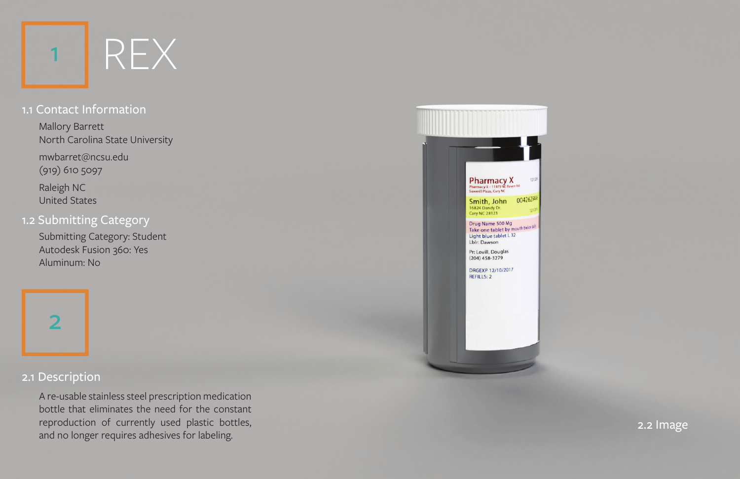

Mallory Barrett North Carolina State University mwbarret@ncsu.edu (919) 610 5097 Raleigh NC United States 1<br>
Internation whise the sense of the sense of the sense of the sense of the sense of the sense of the sense of the sense of the sense of the sense of the sense of the sense of the sense of the sense of the sense of the se

### 1.1 Contact Information

A re-usable stainless steel prescription medication bottle that eliminates the need for the constant reproduction of currently used plastic bottles, and no longer requires adhesives for labeling.

**Pharmacy X**<br>Pharmacy X - 11979 NE Raven Rd<br>Sawmill Plaza, Cary NC

0042629 Smith, John 16824 Dandy Dr.<br>Cary NC 28123

Drug Name 500 Mg<br>Take one tablet by mouth twice daily Light blue tablet L 32 Lblr: Dawson

Pr: Lovill, Douglas  $(204)$  458-3279

DRGEXP 12/10/2017 REFILLS: 2

Submitting Category: Student Autodesk Fusion 360: Yes Aluminum: No

 $\overline{2}$ 

## 1.2 Submitting Category

## 2.1 Description

### 2.2 Image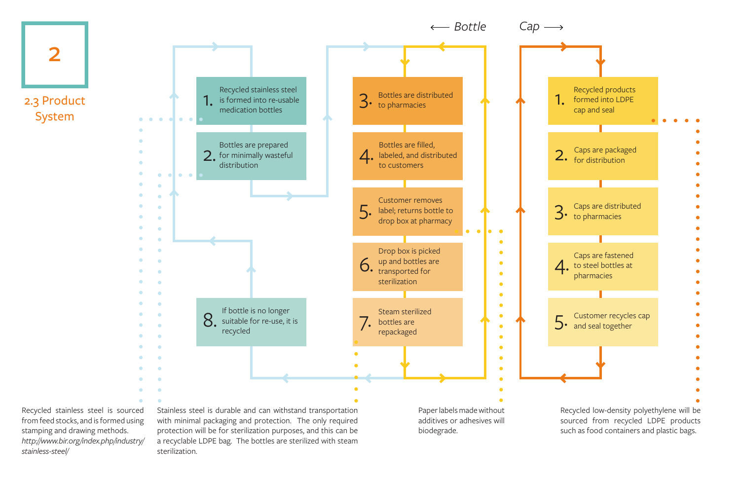

*Bottle Cap*



2





Recycled stainless steel is sourced from feed stocks, and is formed using stamping and drawing methods. *http://www.bir.org/index.php/industry/ stainless-steel/*

Stainless steel is durable and can withstand transportation with minimal packaging and protection. The only required protection will be for sterilization purposes, and this can be a recyclable LDPE bag. The bottles are sterilized with steam sterilization.

Recycled low-density polyethylene will be sourced from recycled LDPE products such as food containers and plastic bags.

Paper labels made without additives or adhesives will biodegrade.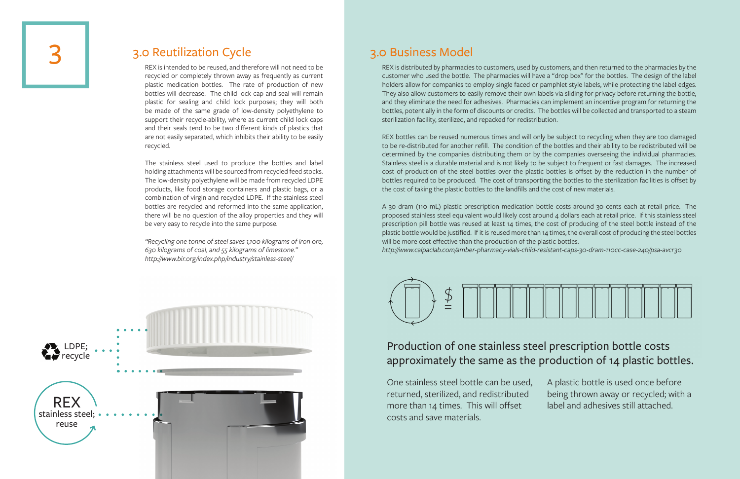### 3.0 Reutilization Cycle 3.0 Business Model

REX is intended to be reused, and therefore will not need to be recycled or completely thrown away as frequently as current plastic medication bottles. The rate of production of new bottles will decrease. The child lock cap and seal will remain plastic for sealing and child lock purposes; they will both be made of the same grade of low-density polyethylene to support their recycle-ability, where as current child lock caps and their seals tend to be two different kinds of plastics that are not easily separated, which inhibits their ability to be easily recycled.

The stainless steel used to produce the bottles and label holding attachments will be sourced from recycled feed stocks. The low-density polyethylene will be made from recycled LDPE products, like food storage containers and plastic bags, or a combination of virgin and recycled LDPE. If the stainless steel bottles are recycled and reformed into the same application, there will be no question of the alloy properties and they will be very easy to recycle into the same purpose.

*"Recycling one tonne of steel saves 1,100 kilograms of iron ore, 630 kilograms of coal, and 55 kilograms of limestone." http://www.bir.org/index.php/industry/stainless-steel/*

REX is distributed by pharmacies to customers, used by customers, and then returned to the pharmacies by the customer who used the bottle. The pharmacies will have a "drop box" for the bottles. The design of the label holders allow for companies to employ single faced or pamphlet style labels, while protecting the label edges. They also allow customers to easily remove their own labels via sliding for privacy before returning the bottle, and they eliminate the need for adhesives. Pharmacies can implement an incentive program for returning the bottles, potentially in the form of discounts or credits. The bottles will be collected and transported to a steam sterilization facility, sterilized, and repacked for redistribution.

REX bottles can be reused numerous times and will only be subject to recycling when they are too damaged to be re-distributed for another refill. The condition of the bottles and their ability to be redistributed will be determined by the companies distributing them or by the companies overseeing the individual pharmacies. Stainless steel is a durable material and is not likely to be subject to frequent or fast damages. The increased cost of production of the steel bottles over the plastic bottles is offset by the reduction in the number of bottles required to be produced. The cost of transporting the bottles to the sterilization facilities is offset by the cost of taking the plastic bottles to the landfills and the cost of new materials.

A 30 dram (110 mL) plastic prescription medication bottle costs around 30 cents each at retail price. The proposed stainless steel equivalent would likely cost around 4 dollars each at retail price. If this stainless steel prescription pill bottle was reused at least 14 times, the cost of producing of the steel bottle instead of the plastic bottle would be justified. If it is reused more than 14 times, the overall cost of producing the steel bottles will be more cost effective than the production of the plastic bottles. *http://www.calpaclab.com/amber-pharmacy-vials-child-resistant-caps-30-dram-110cc-case-240/psa-avcr30*

### Production of one stainless steel prescription bottle costs approximately the same as the production of 14 plastic bottles.

One stainless steel bottle can be used, returned, sterilized, and redistributed more than 14 times. This will offset costs and save materials.

A plastic bottle is used once before being thrown away or recycled; with a label and adhesives still attached.



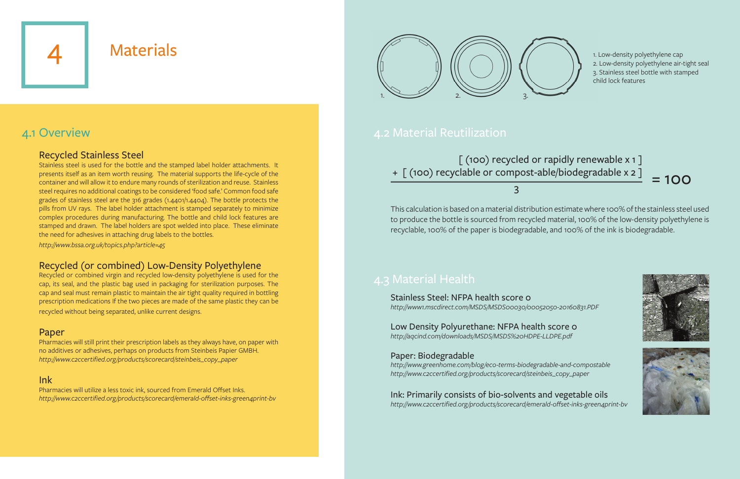### 4.1 Overview

### 4.2 Material Reutilization

### Recycled Stainless Steel

Stainless steel is used for the bottle and the stamped label holder attachments. It presents itself as an item worth reusing. The material supports the life-cycle of the container and will allow it to endure many rounds of sterilization and reuse. Stainless steel requires no additional coatings to be considered 'food safe.' Common food safe grades of stainless steel are the 316 grades (1.4401/1.4404). The bottle protects the pills from UV rays. The label holder attachment is stamped separately to minimize complex procedures during manufacturing. The bottle and child lock features are stamped and drawn. The label holders are spot welded into place. These eliminate the need for adhesives in attaching drug labels to the bottles.

*http://www.bssa.org.uk/topics.php?article=45*

### Recycled (or combined) Low-Density Polyethylene

Recycled or combined virgin and recycled low-density polyethylene is used for the cap, its seal, and the plastic bag used in packaging for sterilization purposes. The cap and seal must remain plastic to maintain the air tight quality required in bottling prescription medications If the two pieces are made of the same plastic they can be recycled without being separated, unlike current designs.

#### Paper

### [ (100) recycled or rapidly renewable x 1] + [ (100) recyclable or compost-able/biodegradable x 2 ]

Pharmacies will still print their prescription labels as they always have, on paper with no additives or adhesives, perhaps on products from Steinbeis Papier GMBH. *http://www.c2ccertified.org/products/scorecard/steinbeis\_copy\_paper*

#### Ink

Pharmacies will utilize a less toxic ink, sourced from Emerald Offset Inks. *http://www.c2ccertified.org/products/scorecard/emerald-offset-inks-green4print-bv*

### 4.3 Material Health

Stainless Steel: NFPA health score 0 *http://www1.mscdirect.com/MSDS/MSDS00030/00052050-20160831.PDF*

#### Low Density Polyurethane: NFPA health score 0

*http://aqcind.com/downloads/MSDS/MSDS%20HDPE-LLDPE.pdf* 

#### Paper: Biodegradable

*http://www.greenhome.com/blog/eco-terms-biodegradable-and-compostable http://www.c2ccertified.org/products/scorecard/steinbeis\_copy\_paper*

## Ink: Primarily consists of bio-solvents and vegetable oils

*http://www.c2ccertified.org/products/scorecard/emerald-offset-inks-green4print-bv*



# **Materials**

This calculation is based on a material distribution estimate where 100% of the stainless steel used to produce the bottle is sourced from recycled material, 100% of the low-density polyethylene is recyclable, 100% of the paper is biodegradable, and 100% of the ink is biodegradable.

1. Low-density polyethylene cap 2. Low-density polyethylene air-tight seal 3. Stainless steel bottle with stamped child lock features



 $= 100$ 





3